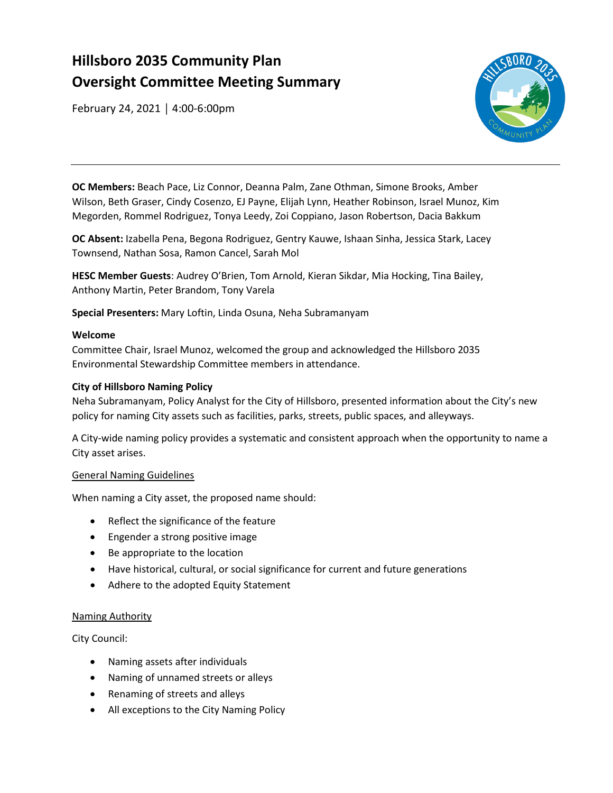# **Hillsboro 2035 Community Plan Oversight Committee Meeting Summary**

February 24, 2021 │ 4:00-6:00pm



 **OC Members:** Beach Pace, Liz Connor, Deanna Palm, Zane Othman, Simone Brooks, Amber Wilson, Beth Graser, Cindy Cosenzo, EJ Payne, Elijah Lynn, Heather Robinson, Israel Munoz, Kim Megorden, Rommel Rodriguez, Tonya Leedy, Zoi Coppiano, Jason Robertson, Dacia Bakkum

 **OC Absent:** Izabella Pena, Begona Rodriguez, Gentry Kauwe, Ishaan Sinha, Jessica Stark, Lacey Townsend, Nathan Sosa, Ramon Cancel, Sarah Mol

 **HESC Member Guests**: Audrey O'Brien, Tom Arnold, Kieran Sikdar, Mia Hocking, Tina Bailey, Anthony Martin, Peter Brandom, Tony Varela

**Special Presenters:** Mary Loftin, Linda Osuna, Neha Subramanyam

# **Welcome**

 Committee Chair, Israel Munoz, welcomed the group and acknowledged the Hillsboro 2035 Environmental Stewardship Committee members in attendance.

# **City of Hillsboro Naming Policy**

Neha Subramanyam, Policy Analyst for the City of Hillsboro, presented information about the City's new policy for naming City assets such as facilities, parks, streets, public spaces, and alleyways.

A City-wide naming policy provides a systematic and consistent approach when the opportunity to name a City asset arises.

# General Naming Guidelines

When naming a City asset, the proposed name should:

- Reflect the significance of the feature
- Engender a strong positive image
- Be appropriate to the location
- Have historical, cultural, or social significance for current and future generations
- Adhere to the adopted Equity Statement

# Naming Authority

City Council:

- Naming assets after individuals
- Naming of unnamed streets or alleys
- Renaming of streets and alleys
- All exceptions to the City Naming Policy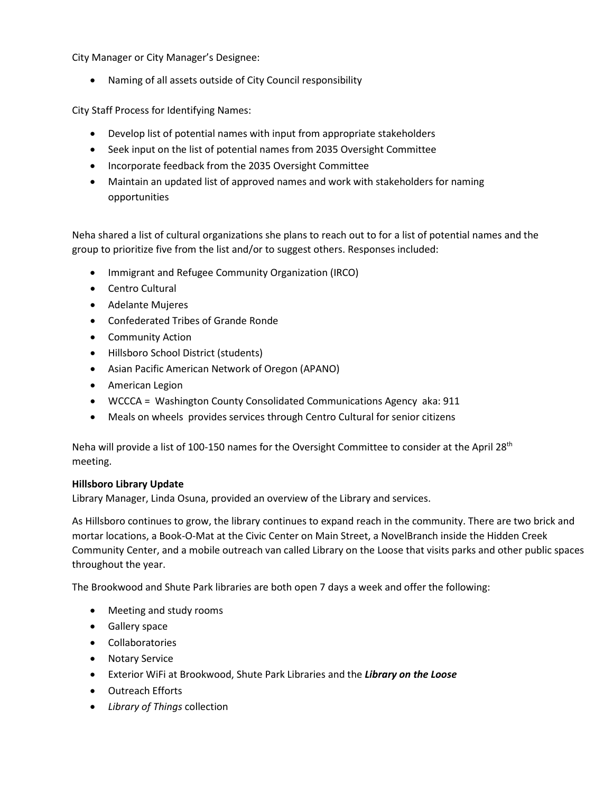City Manager or City Manager's Designee:

• Naming of all assets outside of City Council responsibility

City Staff Process for Identifying Names:

- Develop list of potential names with input from appropriate stakeholders
- Seek input on the list of potential names from 2035 Oversight Committee
- Incorporate feedback from the 2035 Oversight Committee
- • Maintain an updated list of approved names and work with stakeholders for naming opportunities

 Neha shared a list of cultural organizations she plans to reach out to for a list of potential names and the group to prioritize five from the list and/or to suggest others. Responses included:

- Immigrant and Refugee Community Organization (IRCO)
- Centro Cultural
- Adelante Mujeres
- Confederated Tribes of Grande Ronde
- Community Action
- Hillsboro School District (students)
- Asian Pacific American Network of Oregon (APANO)
- American Legion
- WCCCA = Washington County Consolidated Communications Agency aka: 911
- Meals on wheels provides services through Centro Cultural for senior citizens

Neha will provide a list of 100-150 names for the Oversight Committee to consider at the April 28<sup>th</sup> meeting.

# **Hillsboro Library Update**

Library Manager, Linda Osuna, provided an overview of the Library and services.

 As Hillsboro continues to grow, the library continues to expand reach in the community. There are two brick and Community Center, and a mobile outreach van called Library on the Loose that visits parks and other public spaces mortar locations, a Book-O-Mat at the Civic Center on Main Street, a NovelBranch inside the Hidden Creek throughout the year.

The Brookwood and Shute Park libraries are both open 7 days a week and offer the following:

- Meeting and study rooms
- Gallery space
- Collaboratories
- Notary Service
- Exterior WiFi at Brookwood, Shute Park Libraries and the *Library on the Loose*
- Outreach Efforts
- *Library of Things* collection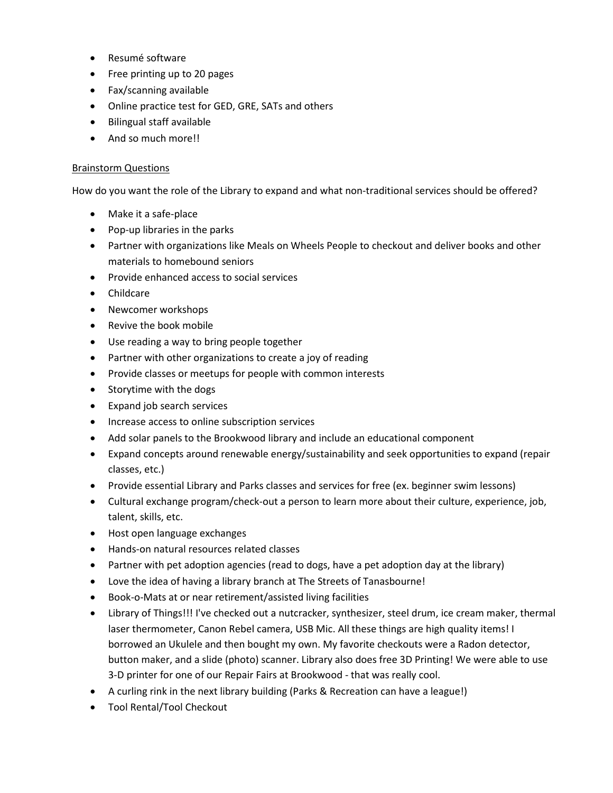- Resumé software
- Free printing up to 20 pages
- Fax/scanning available
- Online practice test for GED, GRE, SATs and others
- Bilingual staff available
- And so much more!!

#### **Brainstorm Questions**

How do you want the role of the Library to expand and what non-traditional services should be offered?

- Make it a safe-place
- Pop-up libraries in the parks
- • Partner with organizations like Meals on Wheels People to checkout and deliver books and other materials to homebound seniors
- Provide enhanced access to social services
- Childcare
- Newcomer workshops
- Revive the book mobile
- Use reading a way to bring people together
- Partner with other organizations to create a joy of reading
- Provide classes or meetups for people with common interests
- Storytime with the dogs
- Expand job search services
- Increase access to online subscription services
- Add solar panels to the Brookwood library and include an educational component
- • Expand concepts around renewable energy/sustainability and seek opportunities to expand (repair classes, etc.)
- Provide essential Library and Parks classes and services for free (ex. beginner swim lessons)
- Cultural exchange program/check-out a person to learn more about their culture, experience, job, talent, skills, etc.
- Host open language exchanges
- Hands-on natural resources related classes
- Partner with pet adoption agencies (read to dogs, have a pet adoption day at the library)
- Love the idea of having a library branch at The Streets of Tanasbourne!
- Book-o-Mats at or near retirement/assisted living facilities
- laser thermometer, Canon Rebel camera, USB Mic. All these things are high quality items! I borrowed an Ukulele and then bought my own. My favorite checkouts were a Radon detector, • Library of Things!!! I've checked out a nutcracker, synthesizer, steel drum, ice cream maker, thermal button maker, and a slide (photo) scanner. Library also does free 3D Printing! We were able to use 3-D printer for one of our Repair Fairs at Brookwood - that was really cool.
- A curling rink in the next library building (Parks & Recreation can have a league!)
- Tool Rental/Tool Checkout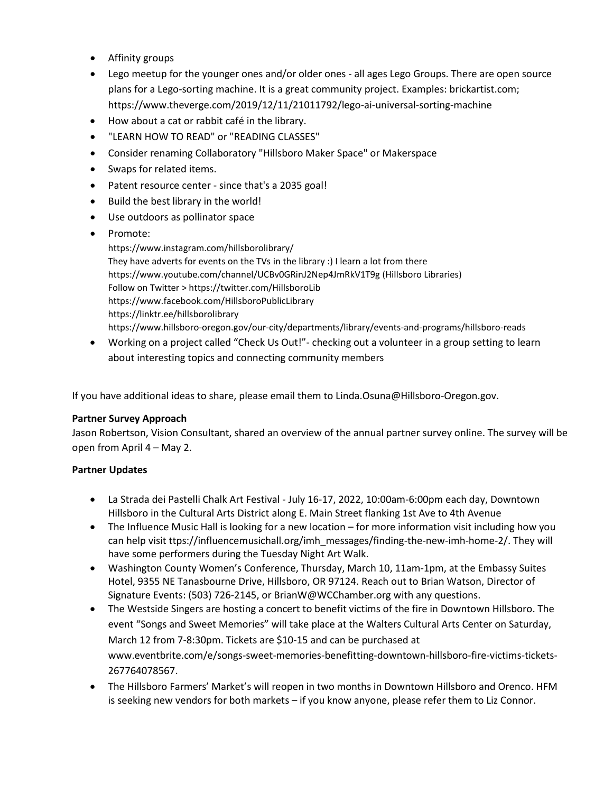- Affinity groups
- • Lego meetup for the younger ones and/or older ones all ages Lego Groups. There are open source plans for a Lego-sorting machine. It is a great community project. Examples: [brickartist.com](https://brickartist.com); <https://www.theverge.com/2019/12/11/21011792/lego-ai-universal-sorting-machine>
- How about a cat or rabbit café in the library.
- "LEARN HOW TO READ" or "READING CLASSES"
- Consider renaming Collaboratory "Hillsboro Maker Space" or Makerspace
- Swaps for related items.
- Patent resource center since that's a 2035 goal!
- Build the best library in the world!
- Use outdoors as pollinator space
- Promote:

[https://www.instagram.com/hillsborolibrary/](https://www.instagram.com/hillsborolibrary) They have adverts for events on the TVs in the library :) I learn a lot from there <https://www.youtube.com/channel/UCBv0GRinJ2Nep4JmRkV1T9g>(Hillsboro Libraries) Follow on Twitter > <https://twitter.com/HillsboroLib> <https://www.facebook.com/HillsboroPublicLibrary> <https://linktr.ee/hillsborolibrary> <https://www.hillsboro-oregon.gov/our-city/departments/library/events-and-programs/hillsboro-reads>

 • Working on a project called "Check Us Out!"- checking out a volunteer in a group setting to learn about interesting topics and connecting community members

If you have additional ideas to share, please email them to [Linda.Osuna@Hillsboro-Oregon.gov.](mailto:Linda.Osuna@Hillsboro-Oregon.gov)

# **Partner Survey Approach**

 Jason Robertson, Vision Consultant, shared an overview of the annual partner survey online. The survey will be open from April 4 – May 2.

# **Partner Updates**

- La Strada dei Pastelli Chalk Art Festival July 16-17, 2022, 10:00am-6:00pm each day, Downtown Hillsboro in the Cultural Arts District along E. Main Street flanking 1st Ave to 4th Avenue
- • The Influence Music Hall is looking for a new location for more information visit including how you can help visit [ttps://influencemusichall.org/imh\\_messages/finding-the-new-imh-home-2](https://ttps://influencemusichall.org/imh_messages/finding-the-new-imh-home-2)/. They will have some performers during the Tuesday Night Art Walk.
- • Washington County Women's Conference, Thursday, March 10, 11am-1pm, at the Embassy Suites Hotel, 9355 NE Tanasbourne Drive, Hillsboro, OR 97124. Reach out to Brian Watson, Director of Signature Events: (503) 726-2145, or [BrianW@WCChamber.org](mailto:BrianW@WCChamber.org) with any questions.
- • The Westside Singers are hosting a concert to benefit victims of the fire in Downtown Hillsboro. The event "Songs and Sweet Memories" will take place at the Walters Cultural Arts Center on Saturday, March 12 from 7-8:30pm. Tickets are \$10-15 and can be purchased at [www.eventbrite.com/e/songs-sweet-memories-benefitting-downtown-hillsboro-fire-victims-tickets-](www.eventbrite.com/e/songs-sweet-memories-benefitting-downtown-hillsboro-fire-victims-tickets)267764078567.
- is seeking new vendors for both markets if you know anyone, please refer them to Liz Connor. • The Hillsboro Farmers' Market's will reopen in two months in Downtown Hillsboro and Orenco. HFM